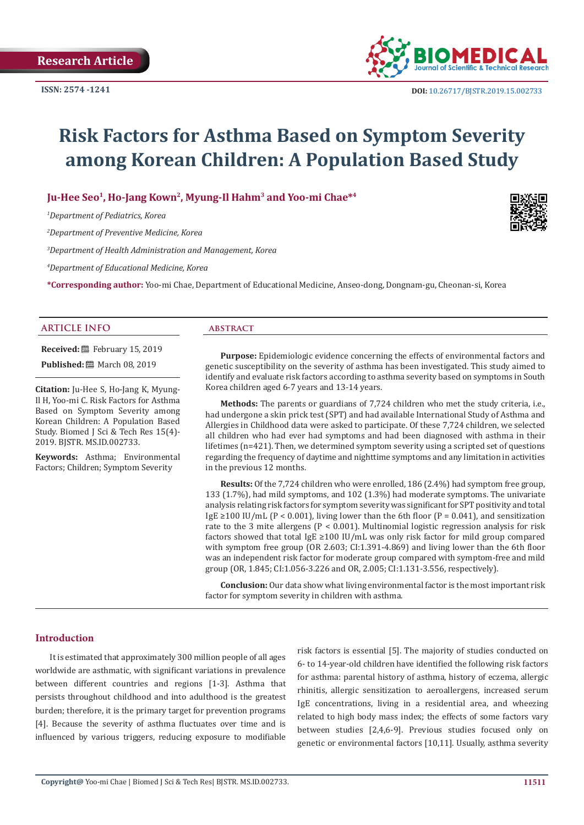

# **Risk Factors for Asthma Based on Symptom Severity among Korean Children: A Population Based Study**

# **Ju-Hee Seo1, Ho-Jang Kown2, Myung-Il Hahm3 and Yoo-mi Chae\*4**

*1 Department of Pediatrics, Korea*

*2 Department of Preventive Medicine, Korea*

*3 Department of Health Administration and Management, Korea* 

*4 Department of Educational Medicine, Korea*

**\*Corresponding author:** Yoo-mi Chae, Department of Educational Medicine, Anseo-dong, Dongnam-gu, Cheonan-si, Korea

### **ARTICLE INFO abstract**

**Received:** February 15, 2019

**Published:** ■ March 08, 2019

**Citation:** Ju-Hee S, Ho-Jang K, Myung-Il H, Yoo-mi C. Risk Factors for Asthma Based on Symptom Severity among Korean Children: A Population Based Study. Biomed J Sci & Tech Res 15(4)- 2019. BJSTR. MS.ID.002733.

**Keywords:** Asthma; Environmental Factors; Children; Symptom Severity

**Purpose:** Epidemiologic evidence concerning the effects of environmental factors and genetic susceptibility on the severity of asthma has been investigated. This study aimed to identify and evaluate risk factors according to asthma severity based on symptoms in South Korea children aged 6-7 years and 13-14 years.

**Methods:** The parents or guardians of 7,724 children who met the study criteria, i.e., had undergone a skin prick test (SPT) and had available International Study of Asthma and Allergies in Childhood data were asked to participate. Of these 7,724 children, we selected all children who had ever had symptoms and had been diagnosed with asthma in their lifetimes (n=421). Then, we determined symptom severity using a scripted set of questions regarding the frequency of daytime and nighttime symptoms and any limitation in activities in the previous 12 months.

**Results:** Of the 7,724 children who were enrolled, 186 (2.4%) had symptom free group, 133 (1.7%), had mild symptoms, and 102 (1.3%) had moderate symptoms. The univariate analysis relating risk factors for symptom severity was significant for SPT positivity and total IgE  $\geq$  100 IU/mL (P < 0.001), living lower than the 6th floor (P = 0.041), and sensitization rate to the 3 mite allergens (P < 0.001). Multinomial logistic regression analysis for risk factors showed that total IgE ≥100 IU/mL was only risk factor for mild group compared with symptom free group (OR 2.603; CI:1.391-4.869) and living lower than the 6th floor was an independent risk factor for moderate group compared with symptom-free and mild group (OR, 1.845; CI:1.056-3.226 and OR, 2.005; CI:1.131-3.556, respectively).

**Conclusion:** Our data show what living environmental factor is the most important risk factor for symptom severity in children with asthma.

#### **Introduction**

It is estimated that approximately 300 million people of all ages worldwide are asthmatic, with significant variations in prevalence between different countries and regions [1-3]. Asthma that persists throughout childhood and into adulthood is the greatest burden; therefore, it is the primary target for prevention programs [4]. Because the severity of asthma fluctuates over time and is influenced by various triggers, reducing exposure to modifiable

risk factors is essential [5]. The majority of studies conducted on 6- to 14-year-old children have identified the following risk factors for asthma: parental history of asthma, history of eczema, allergic rhinitis, allergic sensitization to aeroallergens, increased serum IgE concentrations, living in a residential area, and wheezing related to high body mass index; the effects of some factors vary between studies [2,4,6-9]. Previous studies focused only on genetic or environmental factors [10,11]. Usually, asthma severity

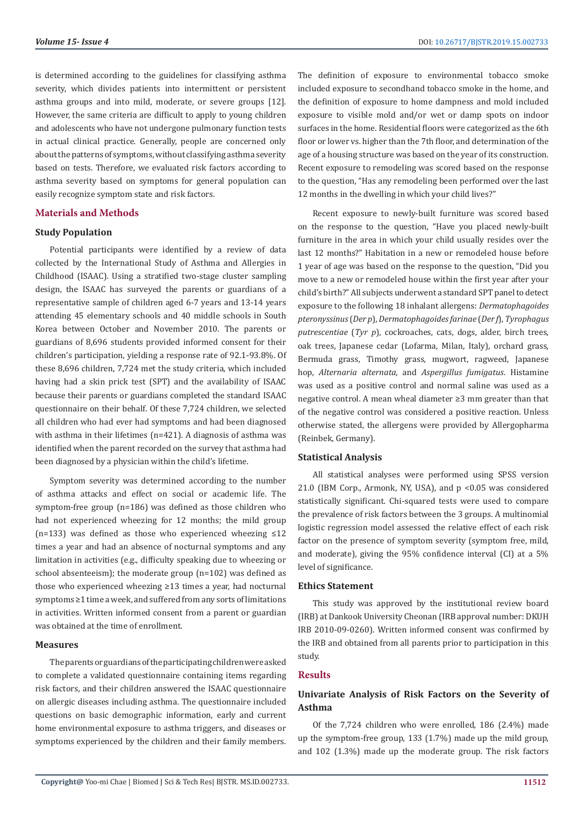is determined according to the guidelines for classifying asthma severity, which divides patients into intermittent or persistent asthma groups and into mild, moderate, or severe groups [12]. However, the same criteria are difficult to apply to young children and adolescents who have not undergone pulmonary function tests in actual clinical practice. Generally, people are concerned only about the patterns of symptoms, without classifying asthma severity based on tests. Therefore, we evaluated risk factors according to asthma severity based on symptoms for general population can easily recognize symptom state and risk factors.

#### **Materials and Methods**

#### **Study Population**

Potential participants were identified by a review of data collected by the International Study of Asthma and Allergies in Childhood (ISAAC). Using a stratified two-stage cluster sampling design, the ISAAC has surveyed the parents or guardians of a representative sample of children aged 6-7 years and 13-14 years attending 45 elementary schools and 40 middle schools in South Korea between October and November 2010. The parents or guardians of 8,696 students provided informed consent for their children's participation, yielding a response rate of 92.1-93.8%. Of these 8,696 children, 7,724 met the study criteria, which included having had a skin prick test (SPT) and the availability of ISAAC because their parents or guardians completed the standard ISAAC questionnaire on their behalf. Of these 7,724 children, we selected all children who had ever had symptoms and had been diagnosed with asthma in their lifetimes (n=421). A diagnosis of asthma was identified when the parent recorded on the survey that asthma had been diagnosed by a physician within the child's lifetime.

Symptom severity was determined according to the number of asthma attacks and effect on social or academic life. The symptom-free group (n=186) was defined as those children who had not experienced wheezing for 12 months; the mild group (n=133) was defined as those who experienced wheezing ≤12 times a year and had an absence of nocturnal symptoms and any limitation in activities (e.g., difficulty speaking due to wheezing or school absenteeism); the moderate group (n=102) was defined as those who experienced wheezing ≥13 times a year, had nocturnal symptoms ≥1 time a week, and suffered from any sorts of limitations in activities. Written informed consent from a parent or guardian was obtained at the time of enrollment.

#### **Measures**

The parents or guardians of the participating children were asked to complete a validated questionnaire containing items regarding risk factors, and their children answered the ISAAC questionnaire on allergic diseases including asthma. The questionnaire included questions on basic demographic information, early and current home environmental exposure to asthma triggers, and diseases or symptoms experienced by the children and their family members. The definition of exposure to environmental tobacco smoke included exposure to secondhand tobacco smoke in the home, and the definition of exposure to home dampness and mold included exposure to visible mold and/or wet or damp spots on indoor surfaces in the home. Residential floors were categorized as the 6th floor or lower vs. higher than the 7th floor, and determination of the age of a housing structure was based on the year of its construction. Recent exposure to remodeling was scored based on the response to the question, "Has any remodeling been performed over the last 12 months in the dwelling in which your child lives?"

Recent exposure to newly-built furniture was scored based on the response to the question, "Have you placed newly-built furniture in the area in which your child usually resides over the last 12 months?" Habitation in a new or remodeled house before 1 year of age was based on the response to the question, "Did you move to a new or remodeled house within the first year after your child's birth?" All subjects underwent a standard SPT panel to detect exposure to the following 18 inhalant allergens: *Dermatophagoides pteronyssinus* (*Der p*), *Dermatophagoides farinae* (*Der f*), *Tyrophagus putrescentiae* (*Tyr p*), cockroaches, cats, dogs, alder, birch trees, oak trees, Japanese cedar (Lofarma, Milan, Italy), orchard grass, Bermuda grass, Timothy grass, mugwort, ragweed, Japanese hop, *Alternaria alternata*, and *Aspergillus fumigatus*. Histamine was used as a positive control and normal saline was used as a negative control. A mean wheal diameter ≥3 mm greater than that of the negative control was considered a positive reaction. Unless otherwise stated, the allergens were provided by Allergopharma (Reinbek, Germany).

#### **Statistical Analysis**

All statistical analyses were performed using SPSS version 21.0 (IBM Corp., Armonk, NY, USA), and p <0.05 was considered statistically significant. Chi-squared tests were used to compare the prevalence of risk factors between the 3 groups. A multinomial logistic regression model assessed the relative effect of each risk factor on the presence of symptom severity (symptom free, mild, and moderate), giving the 95% confidence interval (CI) at a 5% level of significance.

## **Ethics Statement**

This study was approved by the institutional review board (IRB) at Dankook University Cheonan (IRB approval number: DKUH IRB 2010-09-0260). Written informed consent was confirmed by the IRB and obtained from all parents prior to participation in this study.

#### **Results**

# **Univariate Analysis of Risk Factors on the Severity of Asthma**

Of the 7,724 children who were enrolled, 186 (2.4%) made up the symptom-free group, 133 (1.7%) made up the mild group, and 102 (1.3%) made up the moderate group. The risk factors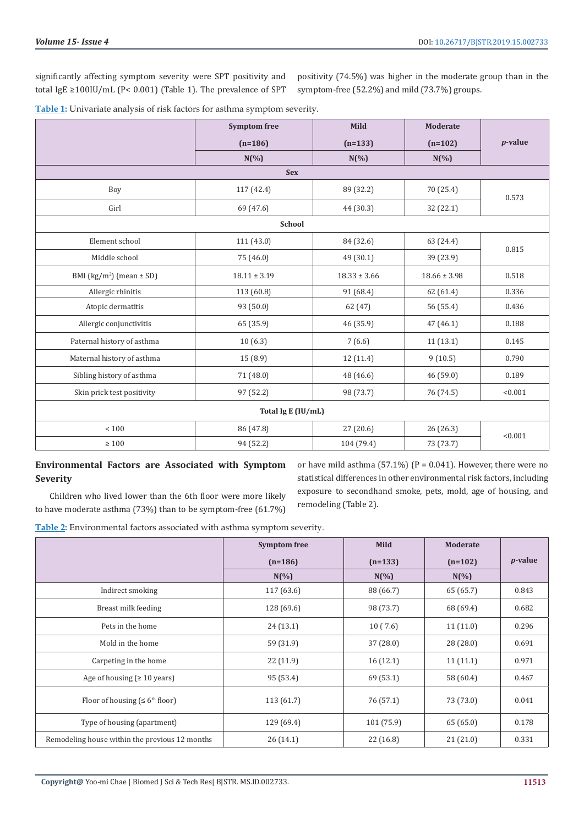significantly affecting symptom severity were SPT positivity and total IgE ≥100IU/mL (P< 0.001) (Table 1). The prevalence of SPT positivity (74.5%) was higher in the moderate group than in the symptom-free (52.2%) and mild (73.7%) groups.

|  |  | Table 1: Univariate analysis of risk factors for asthma symptom severity. |
|--|--|---------------------------------------------------------------------------|
|--|--|---------------------------------------------------------------------------|

|                                         | <b>Symptom</b> free    | Mild             | <b>Moderate</b>  | $p$ -value |  |  |
|-----------------------------------------|------------------------|------------------|------------------|------------|--|--|
|                                         | $(n=186)$              | $(n=133)$        | $(n=102)$        |            |  |  |
|                                         | $N(\% )$               | $N(\%)$          | $N(\%)$          |            |  |  |
| <b>Sex</b>                              |                        |                  |                  |            |  |  |
| Boy                                     | 117 (42.4)             | 89 (32.2)        | 70 (25.4)        | 0.573      |  |  |
| Girl                                    | 69 (47.6)<br>44 (30.3) |                  | 32 (22.1)        |            |  |  |
| School                                  |                        |                  |                  |            |  |  |
| Element school                          | 111(43.0)              | 84 (32.6)        | 63 (24.4)        | 0.815      |  |  |
| Middle school                           | 75 (46.0)              | 49 (30.1)        | 39 (23.9)        |            |  |  |
| BMI ( $\text{kg/m}^2$ ) (mean $\pm$ SD) | $18.11 \pm 3.19$       | $18.33 \pm 3.66$ | $18.66 \pm 3.98$ | 0.518      |  |  |
| Allergic rhinitis                       | 113 (60.8)             | 91 (68.4)        | 62 (61.4)        | 0.336      |  |  |
| Atopic dermatitis                       | 93 (50.0)              | 62 (47)          | 56 (55.4)        | 0.436      |  |  |
| Allergic conjunctivitis                 | 65 (35.9)              | 46 (35.9)        | 47(46.1)         | 0.188      |  |  |
| Paternal history of asthma              | 10(6.3)                | 7(6.6)           | 11(13.1)         | 0.145      |  |  |
| Maternal history of asthma              | 15(8.9)                | 12(11.4)         | 9(10.5)          | 0.790      |  |  |
| Sibling history of asthma               | 71 (48.0)              | 48 (46.6)        | 46(59.0)         | 0.189      |  |  |
| Skin prick test positivity              | 97 (52.2)              | 98 (73.7)        | 76 (74.5)        | < 0.001    |  |  |
| Total Ig E (IU/mL)                      |                        |                  |                  |            |  |  |
| $<100$                                  | 86 (47.8)              | 27(20.6)         | 26(26.3)         | < 0.001    |  |  |
| $\geq 100$                              | 94 (52.2)              | 104 (79.4)       | 73 (73.7)        |            |  |  |

# **Environmental Factors are Associated with Symptom Severity**

or have mild asthma (57.1%) ( $P = 0.041$ ). However, there were no statistical differences in other environmental risk factors, including exposure to secondhand smoke, pets, mold, age of housing, and remodeling (Table 2).

Children who lived lower than the 6th floor were more likely to have moderate asthma (73%) than to be symptom-free (61.7%)

**Table 2:** Environmental factors associated with asthma symptom severity.

|                                                | <b>Symptom</b> free | Mild      | <b>Moderate</b> |            |
|------------------------------------------------|---------------------|-----------|-----------------|------------|
|                                                | $(n=186)$           | $(n=133)$ | $(n=102)$       | $p$ -value |
|                                                | $N(\%)$             | $N(\%)$   | $N(\%)$         |            |
| Indirect smoking                               | 117 (63.6)          | 88 (66.7) | 65 (65.7)       | 0.843      |
| Breast milk feeding                            | 128 (69.6)          | 98 (73.7) | 68 (69.4)       | 0.682      |
| Pets in the home                               | 24 (13.1)           | 10(7.6)   | 11(11.0)        | 0.296      |
| Mold in the home                               | 59 (31.9)           | 37 (28.0) | 28 (28.0)       | 0.691      |
| Carpeting in the home                          | 22(11.9)            | 16(12.1)  | 11(11.1)        | 0.971      |
| Age of housing $( \geq 10 \text{ years})$      | 95 (53.4)           | 69 (53.1) | 58 (60.4)       | 0.467      |
| Floor of housing $( \leq 6^{th}$ floor)        | 113 (61.7)          | 76 (57.1) | 73 (73.0)       | 0.041      |
| Type of housing (apartment)                    | 129 (69.4)          | 101(75.9) | 65(65.0)        | 0.178      |
| Remodeling house within the previous 12 months | 26(14.1)            | 22(16.8)  | 21(21.0)        | 0.331      |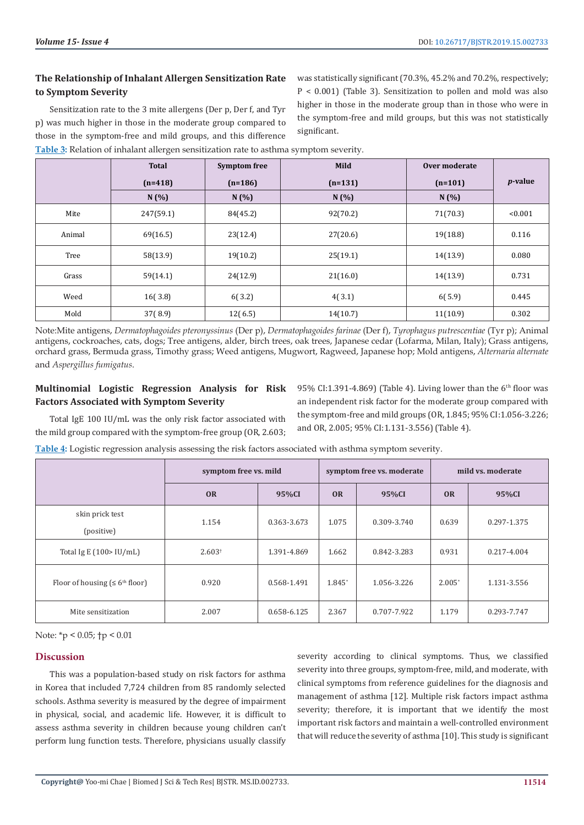# **The Relationship of Inhalant Allergen Sensitization Rate to Symptom Severity**

Sensitization rate to the 3 mite allergens (Der p, Der f, and Tyr p) was much higher in those in the moderate group compared to those in the symptom-free and mild groups, and this difference **Table 3:** Relation of inhalant allergen sensitization rate to asthma symptom severity.

was statistically significant (70.3%, 45.2% and 70.2%, respectively; P < 0.001) (Table 3). Sensitization to pollen and mold was also higher in those in the moderate group than in those who were in the symptom-free and mild groups, but this was not statistically significant.

|        | $\checkmark$ |                     | $\overline{1}$ |               |                 |
|--------|--------------|---------------------|----------------|---------------|-----------------|
|        | <b>Total</b> | <b>Symptom</b> free | Mild           | Over moderate |                 |
|        | $(n=418)$    | $(n=186)$           | $(n=131)$      | $(n=101)$     | <i>p</i> -value |
|        | N(%)         | N(%)                | N(%)           | N(%           |                 |
| Mite   | 247(59.1)    | 84(45.2)            | 92(70.2)       | 71(70.3)      | < 0.001         |
| Animal | 69(16.5)     | 23(12.4)            | 27(20.6)       | 19(18.8)      | 0.116           |
| Tree   | 58(13.9)     | 19(10.2)            | 25(19.1)       | 14(13.9)      | 0.080           |
| Grass  | 59(14.1)     | 24(12.9)            | 21(16.0)       | 14(13.9)      | 0.731           |
| Weed   | 16(3.8)      | 6(3.2)              | 4(3.1)         | 6(5.9)        | 0.445           |
| Mold   | 37(8.9)      | 12(6.5)             | 14(10.7)       | 11(10.9)      | 0.302           |

Note:Mite antigens, *Dermatophagoides pteronyssinus* (Der p), *Dermatophagoides farinae* (Der f), *Tyrophagus putrescentiae* (Tyr p); Animal

antigens, cockroaches, cats, dogs; Tree antigens, alder, birch trees, oak trees, Japanese cedar (Lofarma, Milan, Italy); Grass antigens, orchard grass, Bermuda grass, Timothy grass; Weed antigens, Mugwort, Ragweed, Japanese hop; Mold antigens, *Alternaria alternate*  and *Aspergillus fumigatus*.

# **Multinomial Logistic Regression Analysis for Risk Factors Associated with Symptom Severity**

Total IgE 100 IU/mL was the only risk factor associated with the mild group compared with the symptom-free group (OR, 2.603; 95% CI:1.391-4.869) (Table 4). Living lower than the 6<sup>th</sup> floor was an independent risk factor for the moderate group compared with the symptom-free and mild groups (OR, 1.845; 95% CI:1.056-3.226; and OR, 2.005; 95% CI:1.131-3.556) (Table 4).

**Table 4:** Logistic regression analysis assessing the risk factors associated with asthma symptom severity.

| symptom free vs. mild                   |                    |             |           | symptom free vs. moderate | mild vs. moderate |             |
|-----------------------------------------|--------------------|-------------|-----------|---------------------------|-------------------|-------------|
|                                         | <b>OR</b>          | 95%CI       | <b>OR</b> | 95%CI                     | <b>OR</b>         | 95%CI       |
| skin prick test<br>(positive)           | 1.154              | 0.363-3.673 | 1.075     | 0.309-3.740               | 0.639             | 0.297-1.375 |
| Total Ig E $(100>$ IU/mL)               | 2.603 <sup>†</sup> | 1.391-4.869 | 1.662     | 0.842-3.283               | 0.931             | 0.217-4.004 |
| Floor of housing $( \leq 6^{th}$ floor) | 0.920              | 0.568-1.491 | 1.845*    | 1.056-3.226               | $2.005*$          | 1.131-3.556 |
| Mite sensitization                      | 2.007              | 0.658-6.125 | 2.367     | 0.707-7.922               | 1.179             | 0.293-7.747 |

Note: \*p < 0.05; †p < 0.01

# **Discussion**

This was a population-based study on risk factors for asthma in Korea that included 7,724 children from 85 randomly selected schools. Asthma severity is measured by the degree of impairment in physical, social, and academic life. However, it is difficult to assess asthma severity in children because young children can't perform lung function tests. Therefore, physicians usually classify severity according to clinical symptoms. Thus, we classified severity into three groups, symptom-free, mild, and moderate, with clinical symptoms from reference guidelines for the diagnosis and management of asthma [12]. Multiple risk factors impact asthma severity; therefore, it is important that we identify the most important risk factors and maintain a well-controlled environment that will reduce the severity of asthma [10]. This study is significant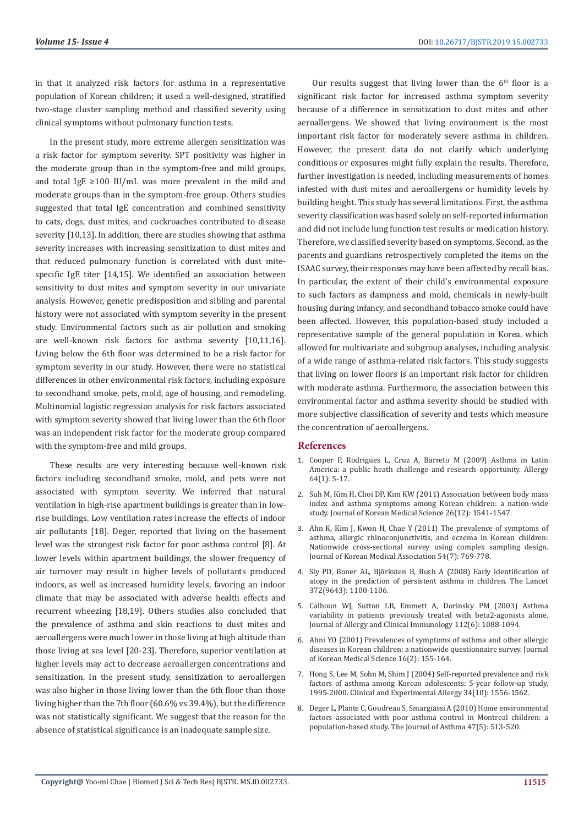in that it analyzed risk factors for asthma in a representative population of Korean children; it used a well-designed, stratified two-stage cluster sampling method and classified severity using clinical symptoms without pulmonary function tests.

In the present study, more extreme allergen sensitization was a risk factor for symptom severity. SPT positivity was higher in the moderate group than in the symptom-free and mild groups, and total IgE ≥100 IU/mL was more prevalent in the mild and moderate groups than in the symptom-free group. Others studies suggested that total IgE concentration and combined sensitivity to cats, dogs, dust mites, and cockroaches contributed to disease severity [10,13]. In addition, there are studies showing that asthma severity increases with increasing sensitization to dust mites and that reduced pulmonary function is correlated with dust mitespecific IgE titer [14,15]. We identified an association between sensitivity to dust mites and symptom severity in our univariate analysis. However, genetic predisposition and sibling and parental history were not associated with symptom severity in the present study. Environmental factors such as air pollution and smoking are well-known risk factors for asthma severity [10,11,16]. Living below the 6th floor was determined to be a risk factor for symptom severity in our study. However, there were no statistical differences in other environmental risk factors, including exposure to secondhand smoke, pets, mold, age of housing, and remodeling. Multinomial logistic regression analysis for risk factors associated with symptom severity showed that living lower than the 6th floor was an independent risk factor for the moderate group compared with the symptom-free and mild groups.

These results are very interesting because well-known risk factors including secondhand smoke, mold, and pets were not associated with symptom severity. We inferred that natural ventilation in high-rise apartment buildings is greater than in lowrise buildings. Low ventilation rates increase the effects of indoor air pollutants [18]. Deger, reported that living on the basement level was the strongest risk factor for poor asthma control [8]. At lower levels within apartment buildings, the slower frequency of air turnover may result in higher levels of pollutants produced indoors, as well as increased humidity levels, favoring an indoor climate that may be associated with adverse health effects and recurrent wheezing [18,19]. Others studies also concluded that the prevalence of asthma and skin reactions to dust mites and aeroallergens were much lower in those living at high altitude than those living at sea level [20-23]. Therefore, superior ventilation at higher levels may act to decrease aeroallergen concentrations and sensitization. In the present study, sensitization to aeroallergen was also higher in those living lower than the 6th floor than those living higher than the 7th floor (60.6% vs 39.4%), but the difference was not statistically significant. We suggest that the reason for the absence of statistical significance is an inadequate sample size.

Our results suggest that living lower than the  $6<sup>th</sup>$  floor is a significant risk factor for increased asthma symptom severity because of a difference in sensitization to dust mites and other aeroallergens. We showed that living environment is the most important risk factor for moderately severe asthma in children. However, the present data do not clarify which underlying conditions or exposures might fully explain the results. Therefore, further investigation is needed, including measurements of homes infested with dust mites and aeroallergens or humidity levels by building height. This study has several limitations. First, the asthma severity classification was based solely on self-reported information and did not include lung function test results or medication history. Therefore, we classified severity based on symptoms. Second, as the parents and guardians retrospectively completed the items on the ISAAC survey, their responses may have been affected by recall bias. In particular, the extent of their child's environmental exposure to such factors as dampness and mold, chemicals in newly-built housing during infancy, and secondhand tobacco smoke could have been affected. However, this population-based study included a representative sample of the general population in Korea, which allowed for multivariate and subgroup analyses, including analysis of a wide range of asthma-related risk factors. This study suggests that living on lower floors is an important risk factor for children with moderate asthma. Furthermore, the association between this environmental factor and asthma severity should be studied with more subjective classification of severity and tests which measure the concentration of aeroallergens.

#### **References**

- 1. Cooper P, Rodrigues L, Cruz A, Barreto M (2009) Asthma in Latin America: a public heath challenge and research opportunity. Allergy 64(1): 5-17.
- 2. Suh M, Kim H, Choi DP, Kim KW (2011) Association between body mass index and asthma symptoms among Korean children: a nation-wide study. Journal of Korean Medical Science 26(12): 1541-1547.
- 3. Ahn K, Kim J, Kwon H, Chae Y (2011) The prevalence of symptoms of asthma, allergic rhinoconjunctivitis, and eczema in Korean children: Nationwide cross-sectional survey using complex sampling design. Journal of Korean Medical Association 54(7): 769-778.
- 4. Sly PD, Boner AL, Björksten B, Bush A (2008) Early identification of atopy in the prediction of persistent asthma in children. The Lancet 372(9643): 1100-1106.
- 5. Calhoun WJ, Sutton LB, Emmett A, Dorinsky PM (2003) Asthma variability in patients previously treated with beta2-agonists alone. Journal of Allergy and Clinical Immunology 112(6): 1088-1094.
- 6. Ahni YO (2001) Prevalences of symptoms of asthma and other allergic diseases in Korean children: a nationwide questionnaire survey. Journal of Korean Medical Science 16(2): 155-164.
- 7. Hong S, Lee M, Sohn M, Shim J (2004) Self‐reported prevalence and risk factors of asthma among Korean adolescents: 5-year follow-up study, 1995-2000. Clinical and Experimental Allergy 34(10): 1556-1562.
- 8. Deger L, Plante C, Goudreau S, Smargiassi A (2010) Home environmental factors associated with poor asthma control in Montreal children: a population-based study. The Journal of Asthma 47(5): 513-520.